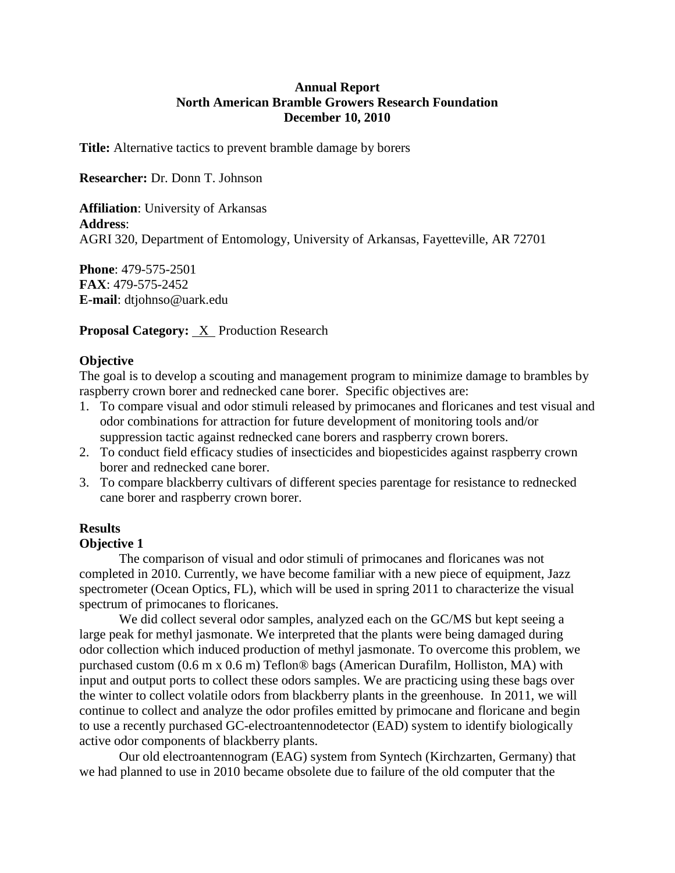# **Annual Report North American Bramble Growers Research Foundation December 10, 2010**

**Title:** Alternative tactics to prevent bramble damage by borers

**Researcher:** Dr. Donn T. Johnson

**Affiliation**: University of Arkansas **Address**: AGRI 320, Department of Entomology, University of Arkansas, Fayetteville, AR 72701

**Phone**: 479-575-2501 **FAX**: 479-575-2452 **E-mail**: dtjohnso@uark.edu

**Proposal Category:** X Production Research

# **Objective**

The goal is to develop a scouting and management program to minimize damage to brambles by raspberry crown borer and rednecked cane borer. Specific objectives are:

- 1. To compare visual and odor stimuli released by primocanes and floricanes and test visual and odor combinations for attraction for future development of monitoring tools and/or suppression tactic against rednecked cane borers and raspberry crown borers.
- 2. To conduct field efficacy studies of insecticides and biopesticides against raspberry crown borer and rednecked cane borer.
- 3. To compare blackberry cultivars of different species parentage for resistance to rednecked cane borer and raspberry crown borer.

# **Results**

## **Objective 1**

The comparison of visual and odor stimuli of primocanes and floricanes was not completed in 2010. Currently, we have become familiar with a new piece of equipment, Jazz spectrometer (Ocean Optics, FL), which will be used in spring 2011 to characterize the visual spectrum of primocanes to floricanes.

We did collect several odor samples, analyzed each on the GC/MS but kept seeing a large peak for methyl jasmonate. We interpreted that the plants were being damaged during odor collection which induced production of methyl jasmonate. To overcome this problem, we purchased custom (0.6 m x 0.6 m) Teflon® bags (American Durafilm, Holliston, MA) with input and output ports to collect these odors samples. We are practicing using these bags over the winter to collect volatile odors from blackberry plants in the greenhouse. In 2011, we will continue to collect and analyze the odor profiles emitted by primocane and floricane and begin to use a recently purchased GC-electroantennodetector (EAD) system to identify biologically active odor components of blackberry plants.

Our old electroantennogram (EAG) system from Syntech (Kirchzarten, Germany) that we had planned to use in 2010 became obsolete due to failure of the old computer that the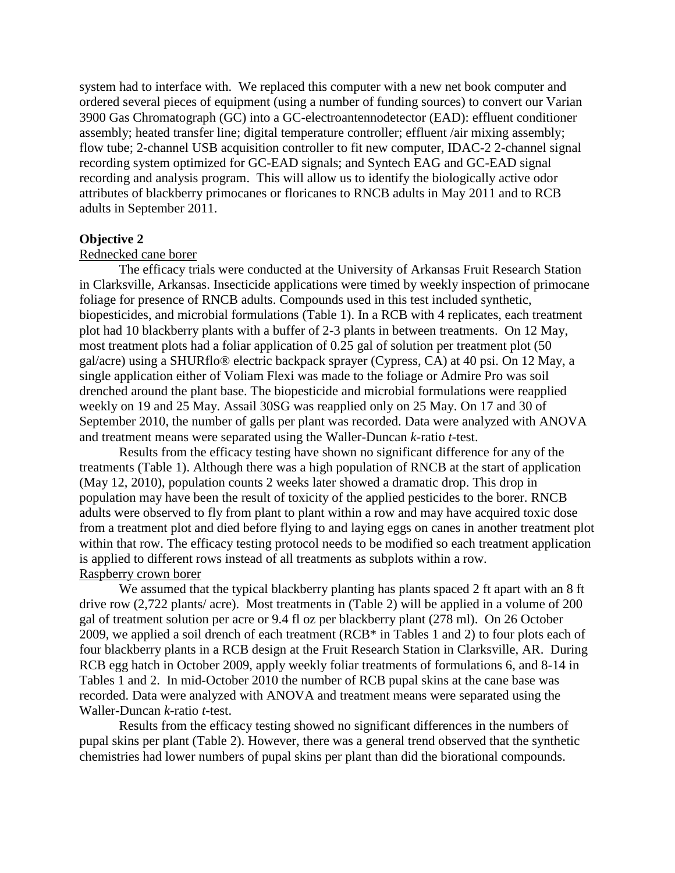system had to interface with. We replaced this computer with a new net book computer and ordered several pieces of equipment (using a number of funding sources) to convert our Varian 3900 Gas Chromatograph (GC) into a GC-electroantennodetector (EAD): effluent conditioner assembly; heated transfer line; digital temperature controller; effluent /air mixing assembly; flow tube; 2-channel USB acquisition controller to fit new computer, IDAC-2 2-channel signal recording system optimized for GC-EAD signals; and Syntech EAG and GC-EAD signal recording and analysis program. This will allow us to identify the biologically active odor attributes of blackberry primocanes or floricanes to RNCB adults in May 2011 and to RCB adults in September 2011.

## **Objective 2**

### Rednecked cane borer

The efficacy trials were conducted at the University of Arkansas Fruit Research Station in Clarksville, Arkansas. Insecticide applications were timed by weekly inspection of primocane foliage for presence of RNCB adults. Compounds used in this test included synthetic, biopesticides, and microbial formulations (Table 1). In a RCB with 4 replicates, each treatment plot had 10 blackberry plants with a buffer of 2-3 plants in between treatments. On 12 May, most treatment plots had a foliar application of 0.25 gal of solution per treatment plot (50 gal/acre) using a SHURflo® electric backpack sprayer (Cypress, CA) at 40 psi. On 12 May, a single application either of Voliam Flexi was made to the foliage or Admire Pro was soil drenched around the plant base. The biopesticide and microbial formulations were reapplied weekly on 19 and 25 May. Assail 30SG was reapplied only on 25 May. On 17 and 30 of September 2010, the number of galls per plant was recorded. Data were analyzed with ANOVA and treatment means were separated using the Waller-Duncan *k*-ratio *t*-test.

Results from the efficacy testing have shown no significant difference for any of the treatments (Table 1). Although there was a high population of RNCB at the start of application (May 12, 2010), population counts 2 weeks later showed a dramatic drop. This drop in population may have been the result of toxicity of the applied pesticides to the borer. RNCB adults were observed to fly from plant to plant within a row and may have acquired toxic dose from a treatment plot and died before flying to and laying eggs on canes in another treatment plot within that row. The efficacy testing protocol needs to be modified so each treatment application is applied to different rows instead of all treatments as subplots within a row. Raspberry crown borer

We assumed that the typical blackberry planting has plants spaced 2 ft apart with an 8 ft drive row (2,722 plants/ acre). Most treatments in (Table 2) will be applied in a volume of 200 gal of treatment solution per acre or 9.4 fl oz per blackberry plant (278 ml). On 26 October 2009, we applied a soil drench of each treatment (RCB\* in Tables 1 and 2) to four plots each of four blackberry plants in a RCB design at the Fruit Research Station in Clarksville, AR. During RCB egg hatch in October 2009, apply weekly foliar treatments of formulations 6, and 8-14 in Tables 1 and 2. In mid-October 2010 the number of RCB pupal skins at the cane base was recorded. Data were analyzed with ANOVA and treatment means were separated using the Waller-Duncan *k*-ratio *t*-test.

Results from the efficacy testing showed no significant differences in the numbers of pupal skins per plant (Table 2). However, there was a general trend observed that the synthetic chemistries had lower numbers of pupal skins per plant than did the biorational compounds.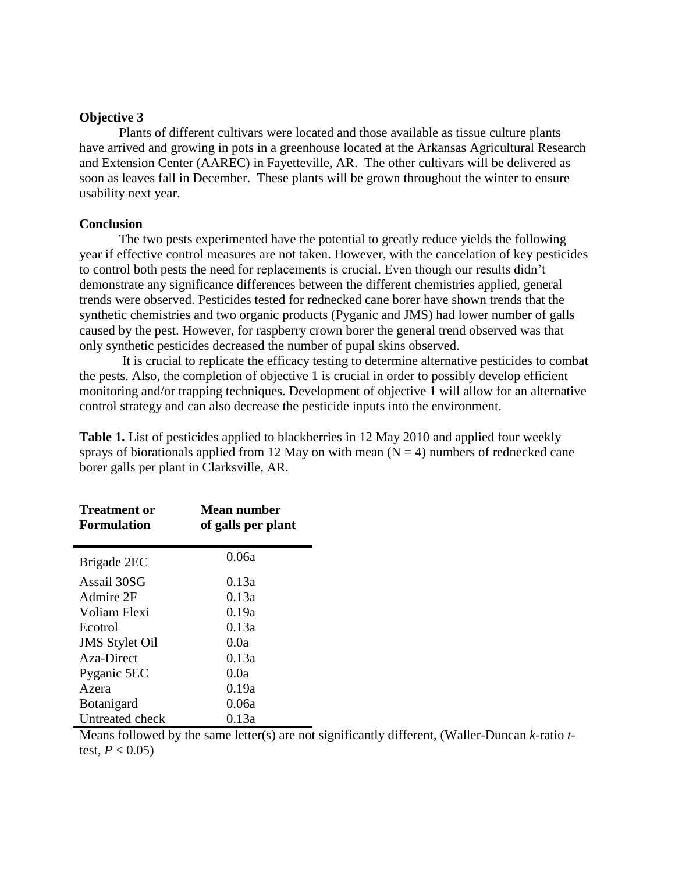### **Objective 3**

Plants of different cultivars were located and those available as tissue culture plants have arrived and growing in pots in a greenhouse located at the Arkansas Agricultural Research and Extension Center (AAREC) in Fayetteville, AR. The other cultivars will be delivered as soon as leaves fall in December. These plants will be grown throughout the winter to ensure usability next year.

### **Conclusion**

The two pests experimented have the potential to greatly reduce yields the following year if effective control measures are not taken. However, with the cancelation of key pesticides to control both pests the need for replacements is crucial. Even though our results didn't demonstrate any significance differences between the different chemistries applied, general trends were observed. Pesticides tested for rednecked cane borer have shown trends that the synthetic chemistries and two organic products (Pyganic and JMS) had lower number of galls caused by the pest. However, for raspberry crown borer the general trend observed was that only synthetic pesticides decreased the number of pupal skins observed.

It is crucial to replicate the efficacy testing to determine alternative pesticides to combat the pests. Also, the completion of objective 1 is crucial in order to possibly develop efficient monitoring and/or trapping techniques. Development of objective 1 will allow for an alternative control strategy and can also decrease the pesticide inputs into the environment.

**Table 1.** List of pesticides applied to blackberries in 12 May 2010 and applied four weekly sprays of biorationals applied from 12 May on with mean  $(N = 4)$  numbers of rednecked cane borer galls per plant in Clarksville, AR.

| <b>Treatment or</b><br><b>Formulation</b> | Mean number<br>of galls per plant |
|-------------------------------------------|-----------------------------------|
| Brigade 2EC                               | 0.06a                             |
| Assail 30SG                               | 0.13a                             |
| Admire 2F                                 | 0.13a                             |
| Voliam Flexi                              | 0.19a                             |
| Ecotrol                                   | 0.13a                             |
| <b>JMS</b> Stylet Oil                     | 0.0a                              |
| Aza-Direct                                | 0.13a                             |
| Pyganic 5EC                               | 0.0a                              |
| Azera                                     | 0.19a                             |
| <b>Botanigard</b>                         | 0.06a                             |
| Untreated check                           | 0.13a                             |

Means followed by the same letter(s) are not significantly different, (Waller-Duncan *k*-ratio *t*test,  $P < 0.05$ )